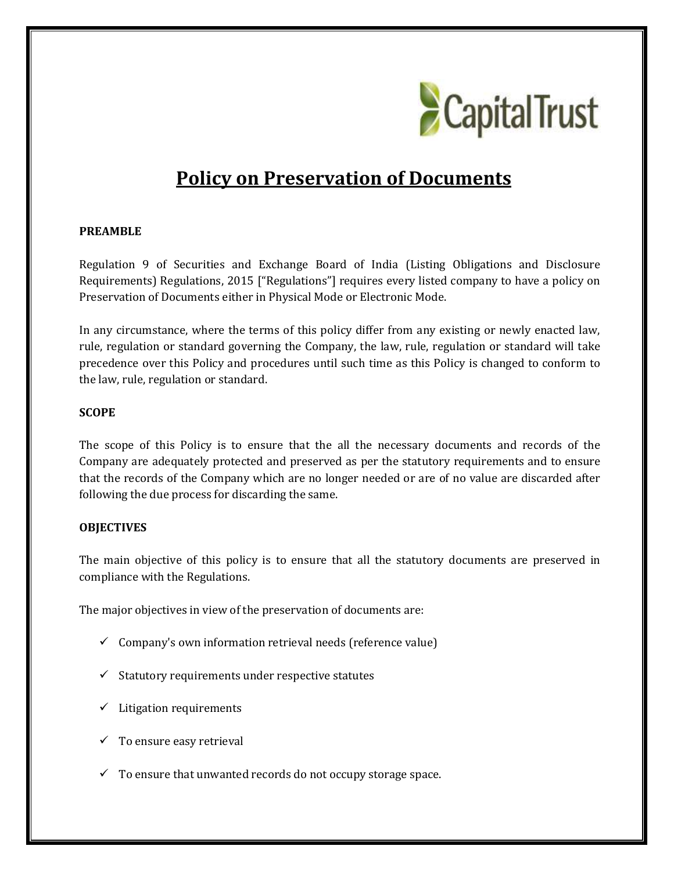

# **Policy on Preservation of Documents**

#### **PREAMBLE**

Regulation 9 of Securities and Exchange Board of India (Listing Obligations and Disclosure Requirements) Regulations, 2015 ["Regulations"] requires every listed company to have a policy on Preservation of Documents either in Physical Mode or Electronic Mode.

In any circumstance, where the terms of this policy differ from any existing or newly enacted law, rule, regulation or standard governing the Company, the law, rule, regulation or standard will take precedence over this Policy and procedures until such time as this Policy is changed to conform to the law, rule, regulation or standard.

#### **SCOPE**

The scope of this Policy is to ensure that the all the necessary documents and records of the Company are adequately protected and preserved as per the statutory requirements and to ensure that the records of the Company which are no longer needed or are of no value are discarded after following the due process for discarding the same.

# **OBJECTIVES**

The main objective of this policy is to ensure that all the statutory documents are preserved in compliance with the Regulations.

The major objectives in view of the preservation of documents are:

- $\checkmark$  Company's own information retrieval needs (reference value)
- $\checkmark$  Statutory requirements under respective statutes
- $\checkmark$  Litigation requirements
- $\checkmark$  To ensure easy retrieval
- $\checkmark$  To ensure that unwanted records do not occupy storage space.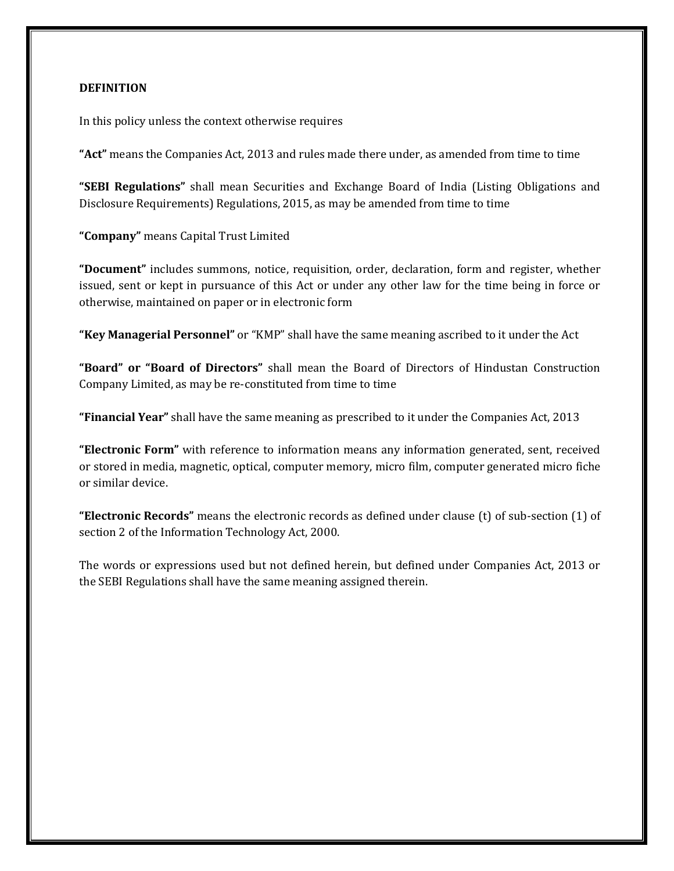### **DEFINITION**

In this policy unless the context otherwise requires

**"Act"** means the Companies Act, 2013 and rules made there under, as amended from time to time

**"SEBI Regulations"** shall mean Securities and Exchange Board of India (Listing Obligations and Disclosure Requirements) Regulations, 2015, as may be amended from time to time

**"Company"** means Capital Trust Limited

**"Document"** includes summons, notice, requisition, order, declaration, form and register, whether issued, sent or kept in pursuance of this Act or under any other law for the time being in force or otherwise, maintained on paper or in electronic form

**"Key Managerial Personnel"** or "KMP" shall have the same meaning ascribed to it under the Act

**"Board" or "Board of Directors"** shall mean the Board of Directors of Hindustan Construction Company Limited, as may be re-constituted from time to time

**"Financial Year"** shall have the same meaning as prescribed to it under the Companies Act, 2013

**"Electronic Form"** with reference to information means any information generated, sent, received or stored in media, magnetic, optical, computer memory, micro film, computer generated micro fiche or similar device.

**"Electronic Records"** means the electronic records as defined under clause (t) of sub-section (1) of section 2 of the Information Technology Act, 2000.

The words or expressions used but not defined herein, but defined under Companies Act, 2013 or the SEBI Regulations shall have the same meaning assigned therein.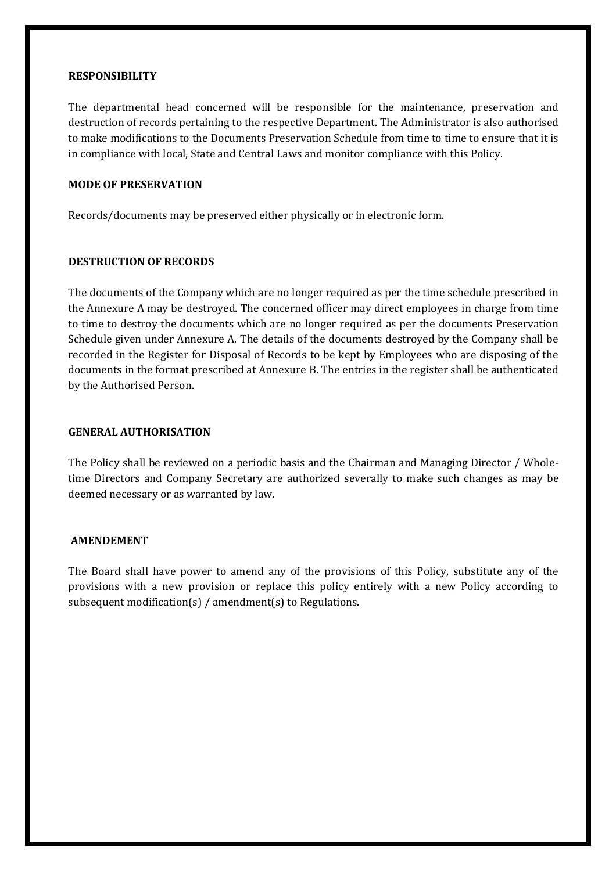#### **RESPONSIBILITY**

The departmental head concerned will be responsible for the maintenance, preservation and destruction of records pertaining to the respective Department. The Administrator is also authorised to make modifications to the Documents Preservation Schedule from time to time to ensure that it is in compliance with local, State and Central Laws and monitor compliance with this Policy.

#### **MODE OF PRESERVATION**

Records/documents may be preserved either physically or in electronic form.

#### **DESTRUCTION OF RECORDS**

The documents of the Company which are no longer required as per the time schedule prescribed in the Annexure A may be destroyed. The concerned officer may direct employees in charge from time to time to destroy the documents which are no longer required as per the documents Preservation Schedule given under Annexure A. The details of the documents destroyed by the Company shall be recorded in the Register for Disposal of Records to be kept by Employees who are disposing of the documents in the format prescribed at Annexure B. The entries in the register shall be authenticated by the Authorised Person.

#### **GENERAL AUTHORISATION**

The Policy shall be reviewed on a periodic basis and the Chairman and Managing Director / Wholetime Directors and Company Secretary are authorized severally to make such changes as may be deemed necessary or as warranted by law.

#### **AMENDEMENT**

The Board shall have power to amend any of the provisions of this Policy, substitute any of the provisions with a new provision or replace this policy entirely with a new Policy according to subsequent modification(s) / amendment(s) to Regulations.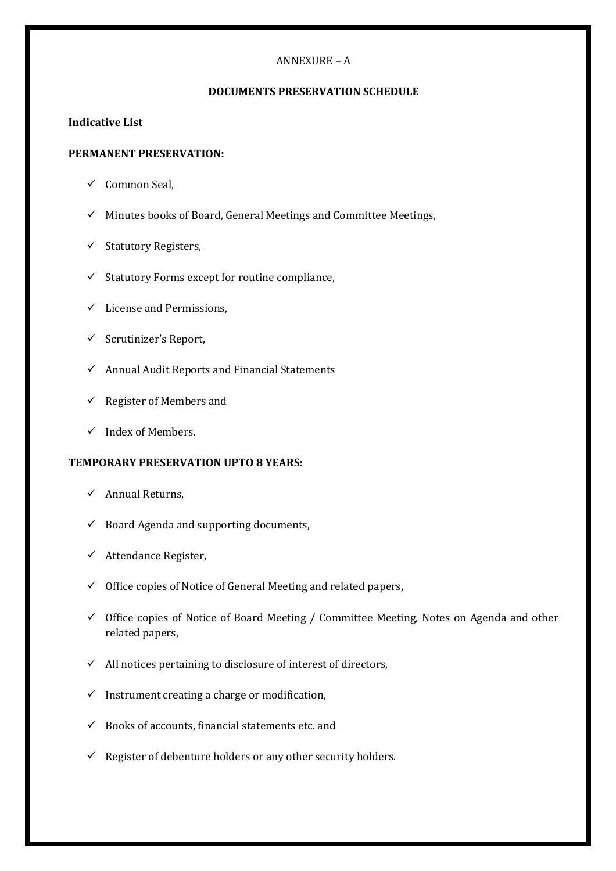# ANNEXURE – A

# **DOCUMENTS PRESERVATION SCHEDULE**

# **Indicative List**

## **PERMANENT PRESERVATION:**

- $\checkmark$  Common Seal,
- $\checkmark$  Minutes books of Board, General Meetings and Committee Meetings,
- $\checkmark$  Statutory Registers,
- $\checkmark$  Statutory Forms except for routine compliance,
- $\checkmark$  License and Permissions,
- $\checkmark$  Scrutinizer's Report,
- $\checkmark$  Annual Audit Reports and Financial Statements
- $\checkmark$  Register of Members and
- $\checkmark$  Index of Members.

# **TEMPORARY PRESERVATION UPTO 8 YEARS:**

- $\checkmark$  Annual Returns,
- $\checkmark$  Board Agenda and supporting documents,
- $\checkmark$  Attendance Register,
- $\checkmark$  Office copies of Notice of General Meeting and related papers,
- $\checkmark$  Office copies of Notice of Board Meeting / Committee Meeting, Notes on Agenda and other related papers,
- $\checkmark$  All notices pertaining to disclosure of interest of directors,
- $\checkmark$  Instrument creating a charge or modification,
- $\checkmark$  Books of accounts, financial statements etc. and
- $\checkmark$  Register of debenture holders or any other security holders.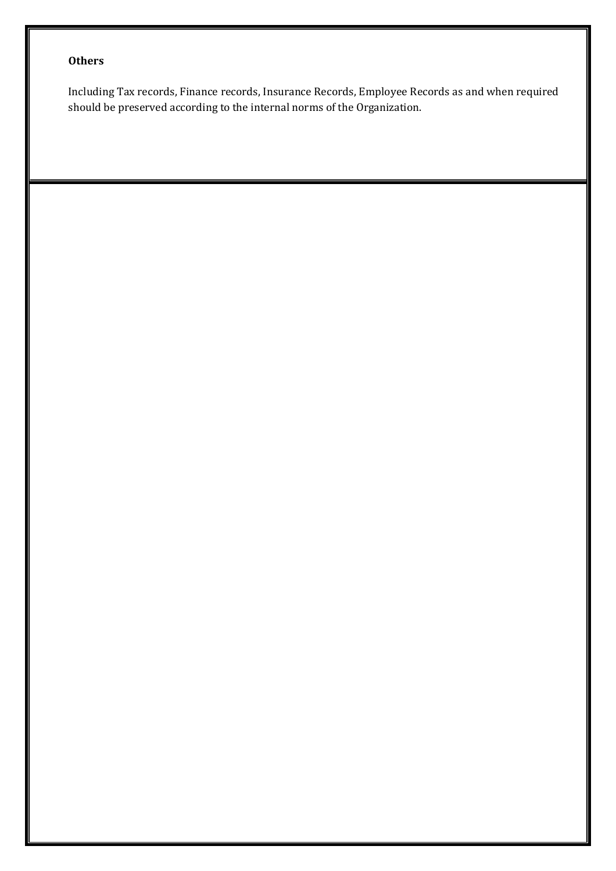# **Others**

Including Tax records, Finance records, Insurance Records, Employee Records as and when required should be preserved according to the internal norms of the Organization.